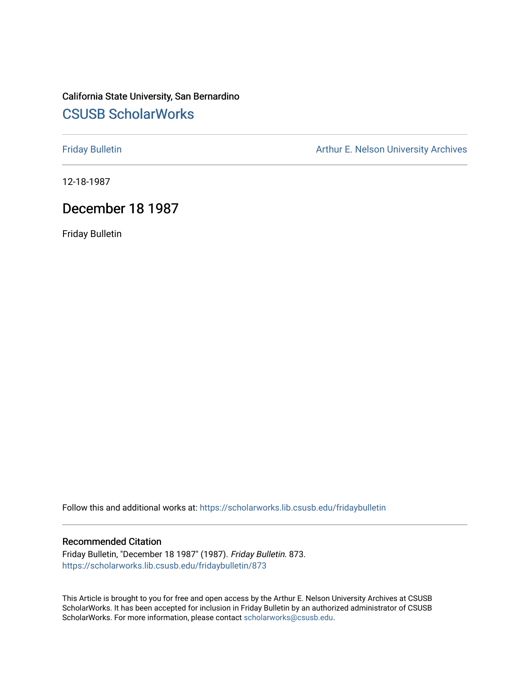#### California State University, San Bernardino [CSUSB ScholarWorks](https://scholarworks.lib.csusb.edu/)

[Friday Bulletin](https://scholarworks.lib.csusb.edu/fridaybulletin) **Arthur E. Nelson University Archives** Arthur E. Nelson University Archives

12-18-1987

#### December 18 1987

Friday Bulletin

Follow this and additional works at: [https://scholarworks.lib.csusb.edu/fridaybulletin](https://scholarworks.lib.csusb.edu/fridaybulletin?utm_source=scholarworks.lib.csusb.edu%2Ffridaybulletin%2F873&utm_medium=PDF&utm_campaign=PDFCoverPages)

#### Recommended Citation

Friday Bulletin, "December 18 1987" (1987). Friday Bulletin. 873. [https://scholarworks.lib.csusb.edu/fridaybulletin/873](https://scholarworks.lib.csusb.edu/fridaybulletin/873?utm_source=scholarworks.lib.csusb.edu%2Ffridaybulletin%2F873&utm_medium=PDF&utm_campaign=PDFCoverPages)

This Article is brought to you for free and open access by the Arthur E. Nelson University Archives at CSUSB ScholarWorks. It has been accepted for inclusion in Friday Bulletin by an authorized administrator of CSUSB ScholarWorks. For more information, please contact [scholarworks@csusb.edu.](mailto:scholarworks@csusb.edu)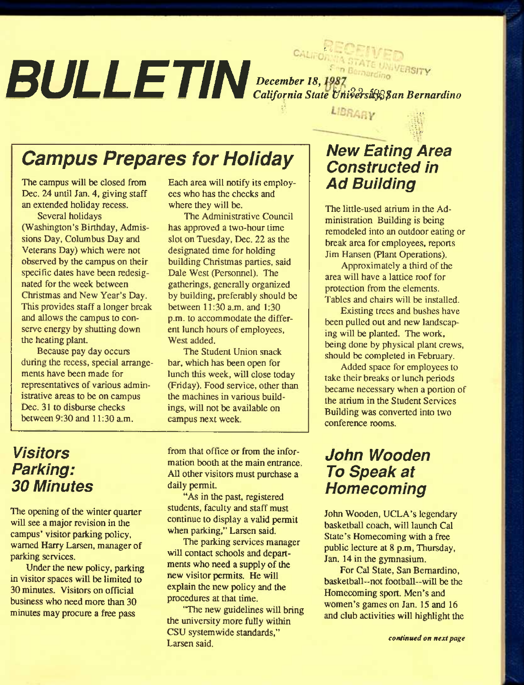#### *BULLETIN*  r. L-*December 18^ California State tJM^S'sS^fan Bernardino ...*

LIBRARY

# *Campus Prepares for Holiday*

The campus will be closed from Dec. 24 until Jan. 4, giving staff an extended holiday recess.

Several holidays (Washington's Birthday, Admissions Day, Columbus Day and Veterans Day) which were not observed by the campus on their specific dates have been redesignated for the week between Christmas and New Year's Day. This provides staff a longer break and allows the campus to conserve energy by shutting down the heating plant.

Because pay day occurs during the recess, special arrangements have been made for representatives of various administrative areas to be on campus Dec. 31 to disburse checks between 9:30 and 11:30 a.m.

Each area will notify its employees who has the checks and where they will be.

The Administrative Council has approved a two-hour time slot on Tuesday, Dec. 22 as the designated time for holding building Christmas parties, said Dale West (Personnel). The gatherings, generally organized by building, preferably should be between 11:30 a.m. and 1:30 p.m. to accommodate the different lunch hours of employees. West added.

The Student Union snack bar, which has been open for lunch this week, will close today (Friday). Food service, other than the machines in various buildings, will not be available on campus next week.

#### *Visitors Parking: 30 Minutes*

The opening of the winter quarter will see a major revision in the campus' visitor parking policy, warned Harry Larsen, manager of parking services.

Under the new policy, parking in visitor spaces will be limited to 30 minutes. Visitors on official business who need more than 30 minutes may procure a free pass

from that office or from the information booth at the main entrance. All other visitors must purchase a daily permit.

"As in the past, registered students, faculty and staff must continue to display a valid permit when parking," Larsen said.

The parking services manager will contact schools and departments who need a supply of the new visitor permits. He will explain the new policy and the procedures at that time.

"The new guidelines will bring the university more fully within CSU systemwide standards," Larsen said.

# *New Eating Area Constructed in Ad Buiiding*

The little-used atrium in the Administration Building is being remodeled into an outdoor eating or break area for employees, reports Jim Hansen (Plant Operations).

Approximately a third of the area will have a lattice roof for protection from the elements. Tables and chairs will be installed.

Existing trees and bushes have been pulled out and new landscaping will be planted. The work, being done by physical plant crews, should be completed in February.

Added space for employees to take their breaks or lunch periods became necessary when a portion of the atrium in the Student Services Building was converted into two conference rooms.

# *John Wooden To Speak at Homecoming*

John Wooden, UCLA's legendary basketball coach, will launch Cal State's Homecoming with a free public lecture at 8 p.m, Thursday, Jan. 14 in the gymnasium.

For Cal State, San Bernardino, basketball-not football-will be the Homecoming sport. Men's and women's games on Jan. 15 and 16 and club activities will highlight the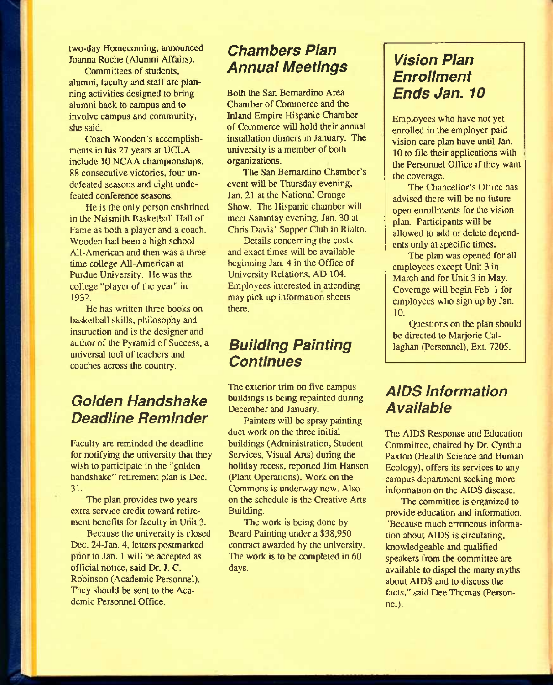two-day Homecoming, announced Joanna Roche (Alumni Affairs).

Committees of students, alumni, faculty and staff are planning activities designed to bring alumni back to campus and to involve campus and community, she said.

Coach Wooden's accomplishments in his 27 years at UCLA include 10 NCAA championships, 88 consecutive victories, four undefeated seasons and eight undefeated conference seasons.

He is the only person enshrined in the Naismilh Basketball Hall of Fame as both a player and a coach. Wooden had been a high school All-American and then was a threetime college All-American at Purdue University. He was the college "player of the year" in 1932.

He has written three books on basketball skills, philosophy and instruction and is the designer and author of the Pyramid of Success, a universal tool of teachers and coaches across the country.

### *Goiden Handshake Deadiine Reminder*

Faculty are reminded the deadline for notifying the university that they wish to participate in the "golden" handshake" retirement plan is Dec. 31.

The plan provides two years extra service credit toward retirement benefits for faculty in Unit 3.

Because the university is closed Dec. 24-Jan. 4, letters postmarked prior to Jan. 1 will be accepted as official notice, said Dr. J. C. Robinson (Academic Personnel). They should be sent to the Academic Personnel Office.

#### *Chambers Pian Annuai Meetings*

Both the San Bernardino Area Chamber of Commerce and the Inland Empire Hispanic Chamber of Commerce will hold their annual installation dinners in January. The university is a member of both organizations.

The San Bernardino Chamber's event will be Thursday evening, Jan. 21 at the National Orange Show. The Hispanic chamber will meet Saturday evening, Jan. 30 at Chris Davis' Supper Club in Rialio.

Details concerning the costs and exact times will be available beginning Jan. 4 in the Office of University Relations, AD 104. Employees interested in attending may pick up information sheets there.

#### *Buiiding Painting Continues*

The exterior trim on five campus buildings is being repainted during December and January.

Painters will be spray painting duct work on the three initial buildings (Administration, Student Services, Visual Arts) during the holiday recess, reported Jim Hansen (Plant Operations). Work on the Commons is underway now. Also on the schedule is the Creative Arts Building.

The work is being done by Beard Painting under a \$38,950 contract awarded by the university. The work is to be completed in 60 days.

#### *Vision Pian Enroiiment Ends Jan. 10*

Employees who have not yet enrolled in the employer-paid vision care plan have until Jan. 10 to file their applications with the Personnel Office if they want the coverage.

The Chancellor's Office has advised there wiU be no future open enrollments for the vision plan. Participants will be allowed to add or delete dependents only at specific times.

The plan was opened for all employees except Unit 3 in March and for Unit 3 in May. Coverage will begin Feb. 1 for employees who sign up by Jan. 10.

Questions on the plan should be directed to Marjorie Callaghan (Personnel), Ext. 7205.

#### *AiDS information Avaiiabie*

The AIDS Response and Education Committee, chaired by Dr. Cynthia Paxton (Health Science and Human Ecology), offers its services to any campus department seeking more information on the AIDS disease.

The committee is organized to provide education and information. "Because much erroneous information about AIDS is circulating, knowledgeable and qualified speakers from the committee are available to dispel the many myths about AIDS and to discuss the facts," said Dee Thomas (Personnel).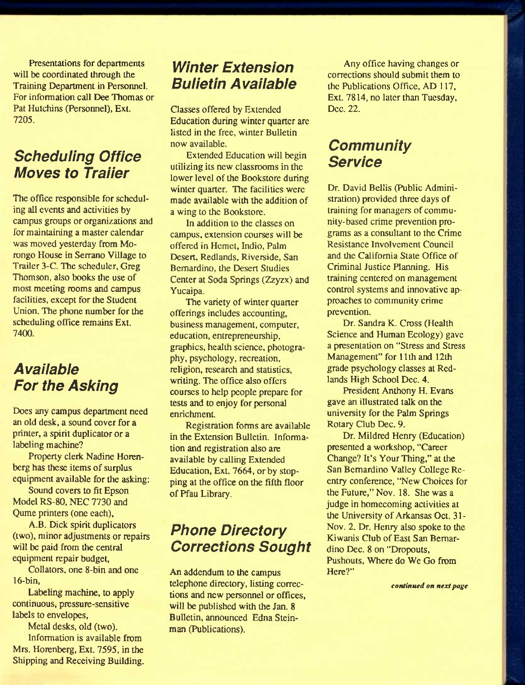Presentations for departments will be coordinated through the Training Department in Personnel. For information call Dee Thomas or Pat Hutchins (Personnel), Ext. 7205.

### *Scheduling Office Moves to Traiier*

The office responsible for scheduling all events and activities by campus groups or organizations and for maintaining a master calendar was moved yesterday from Morongo House in Serrano Village to Trailer 3-C. The scheduler, Greg Thomson, also books the use of most meeting rooms and campus facilities, except for the Student Union. The phone number for the scheduling office remains Ext. 7400.

## *Avaiiabie For the Asking*

Does any campus department need an old desk, a sound cover for a printer, a spirit duplicator or a labeling machine?

Property clerk Nadine Horenberg has these items of surplus equipment available for the asking:

Sound covers to fit Epson Model RS-80, NEC 7730 and Qume printers (one each),

A.B. Dick spirit duplicators (two), minor adjustments or repairs will be paid from the central equipment repair budget,

Collators, one 8-bin and one 16-bin,

Labeling machine, to apply continuous, pressure-sensitive labels to envelopes.

Metal desks, old (two). Information is available from Mrs. Horenberg, Ext. 7595, in the Shipping and Receiving Building.

### *Winter Extension Buiietin Avaiiabie*

Classes offered by Extended Education during winter quarter are listed in the free, winter Bulletin now available.

Extended Education will begin utilizing its new classrooms in the lower level of the Bookstore during winter quarter. The facilities were made available with the addition of a wing to the Bookstore.

In addition to the classes on campus, extension courses will be offered in Hcmet, Indio, Palm Desert, Redlands, Riverside, San Bernardino, the Desert Studies Center at Soda Springs (Zzyzx) and Yucaipa.

The variety of winter quarter offerings includes accounting, business management, computer, education, entrepreneurship, graphics, health science, photography, psychology, recreation, religion, research and statistics, writing. The office also offers courses to help people prepare for tests and to enjoy for personal enrichment.

Registration forms are available in the Extension Bulletin. Information and registration also are available by calling Extended Education, Ext. 7664, or by stopping at the office on the fifth floor of Pfau Library.

## *Phone Directory Corrections Sought*

An addendum to the campus telephone directory, listing corrections and new personnel or offices, will be published with the Jan. 8 Bulletin, announced Edna Steinman (Publications).

Any office having changes or corrections should submit them to the Publications Office, AD 117, Ext. 7814, no later than Tuesday, Dec. 22.

#### *Community Service*

Dr. David Bellis (Public Administration) provided three days of training for managers of community-based crime prevention programs as a consultant to the Crime Resistance Involvement Council and the California State Office of Criminal Justice Planning. His training centered on management control systems and innovative approaches to community crime prevention.

Dr. Sandra K. Cross (Health Science and Human Ecology) gave a presentation on "Stress and Stress Management" for 11th and 12th grade psychology classes at Redlands High School Dec. 4.

President Anthony H. Evans gave an illustrated talk on the university for the Palm Springs Rotary Club Dec. 9.

Dr. Mildred Henry (Education) presented a workshop, "Career Change? It's Your Thing," at the San Bernardino Valley College Reentry conference, "New Choices for the Future," Nov. 18. She was a judge in homecoming activities at the University of Arkansas Oct. 31- Nov. 2. Dr. Henry also spoke to the Kiwanis Club of East San Bernardino Dec. 8 on "Dropouts, Pushouts, Where do We Go from Here?"

*continued on next page*